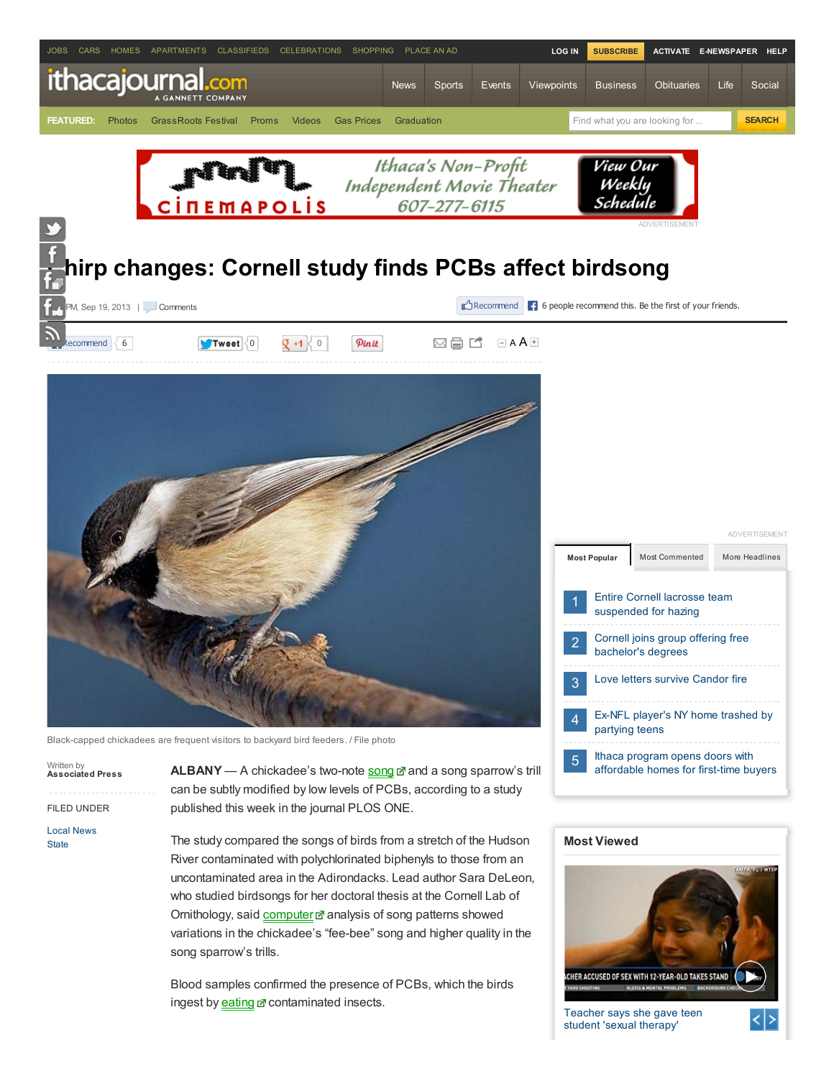

Written by Associated Press

FILED UNDER

Local [News](http://www.ithacajournal.com/section/NEWS) **[State](http://www.ithacajournal.com/section/NEWS10)** 

ALBANY - A chickadee's two-note [song](http://www.ithacajournal.com/viewart/20130919/NEWS10/309190033/Chirp-changes-Cornell-study-finds-PCBs-affect-birdsong#) and a song sparrow's trill can be subtly modified by low levels of PCBs, according to a study published this week in the journal PLOS ONE.

The study compared the songs of birds from a stretch of the Hudson River contaminated with polychlorinated biphenyls to those from an uncontaminated area in the Adirondacks. Lead author Sara DeLeon, who studied birdsongs for her doctoral thesis at the Cornell Lab of Ornithology, said [computer](http://www.ithacajournal.com/viewart/20130919/NEWS10/309190033/Chirp-changes-Cornell-study-finds-PCBs-affect-birdsong#) analysis of song patterns showed variations in the chickadee's "fee-bee" song and higher quality in the song sparrow's trills.

Blood samples confirmed the presence of PCBs, which the birds ingest by **[eating](http://www.ithacajournal.com/viewart/20130919/NEWS10/309190033/Chirp-changes-Cornell-study-finds-PCBs-affect-birdsong#) c** contaminated insects.

## Most Viewed



[affordable](http://www.ithacajournal.com/article/20130918/NEWS01/309180061/Ithaca-program-opens-doors-with-affordable-homes-for-first-time-buyers) homes for first-time buyers